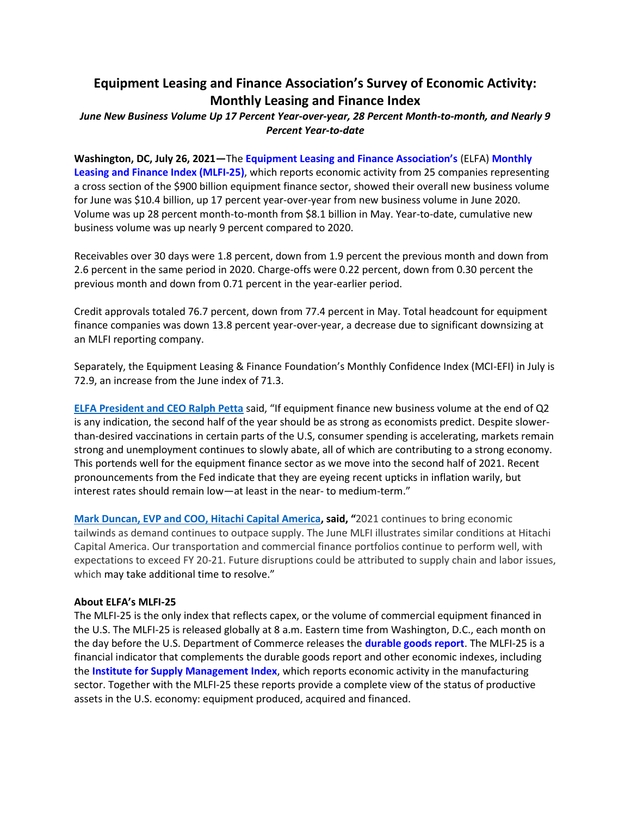# **Equipment Leasing and Finance Association's Survey of Economic Activity: Monthly Leasing and Finance Index**

## *June New Business Volume Up 17 Percent Year-over-year, 28 Percent Month-to-month, and Nearly 9 Percent Year-to-date*

**Washington, DC, July 26, 2021—**The **[Equipment Leasing and Finance Association's](http://www.elfaonline.org/)** (ELFA) **[Monthly](http://www.elfaonline.org/Data/MLFI/)  [Leasing and Finance Index \(MLFI-25\)](http://www.elfaonline.org/Data/MLFI/)**, which reports economic activity from 25 companies representing a cross section of the \$900 billion equipment finance sector, showed their overall new business volume for June was \$10.4 billion, up 17 percent year-over-year from new business volume in June 2020. Volume was up 28 percent month-to-month from \$8.1 billion in May. Year-to-date, cumulative new business volume was up nearly 9 percent compared to 2020.

Receivables over 30 days were 1.8 percent, down from 1.9 percent the previous month and down from 2.6 percent in the same period in 2020. Charge-offs were 0.22 percent, down from 0.30 percent the previous month and down from 0.71 percent in the year-earlier period.

Credit approvals totaled 76.7 percent, down from 77.4 percent in May. Total headcount for equipment finance companies was down 13.8 percent year-over-year, a decrease due to significant downsizing at an MLFI reporting company.

Separately, the Equipment Leasing & Finance Foundation's Monthly Confidence Index (MCI-EFI) in July is 72.9, an increase from the June index of 71.3.

**[ELFA President and CEO Ralph Petta](http://www.elfaonline.org/about/staff-contact-info/view-executive-staff-bios)** said, "If equipment finance new business volume at the end of Q2 is any indication, the second half of the year should be as strong as economists predict. Despite slowerthan-desired vaccinations in certain parts of the U.S, consumer spending is accelerating, markets remain strong and unemployment continues to slowly abate, all of which are contributing to a strong economy. This portends well for the equipment finance sector as we move into the second half of 2021. Recent pronouncements from the Fed indicate that they are eyeing recent upticks in inflation warily, but interest rates should remain low—at least in the near- to medium-term."

**[Mark Duncan, EVP and COO, Hitachi Capital America](https://www.hitachicapitalamerica.com/), said, "**2021 continues to bring economic tailwinds as demand continues to outpace supply. The June MLFI illustrates similar conditions at Hitachi Capital America. Our transportation and commercial finance portfolios continue to perform well, with expectations to exceed FY 20-21. Future disruptions could be attributed to supply chain and labor issues, which may take additional time to resolve."

#### **About ELFA's MLFI-25**

The MLFI-25 is the only index that reflects capex, or the volume of commercial equipment financed in the U.S. The MLFI-25 is released globally at 8 a.m. Eastern time from Washington, D.C., each month on the day before the U.S. Department of Commerce releases the **[durable goods report](http://www.census.gov/indicator/www/m3/)**. The MLFI-25 is a financial indicator that complements the durable goods report and other economic indexes, including the **[Institute for Supply Management Index](http://www.ism.ws/ISMReport/MfgROB.cfm)**, which reports economic activity in the manufacturing sector. Together with the MLFI-25 these reports provide a complete view of the status of productive assets in the U.S. economy: equipment produced, acquired and financed.